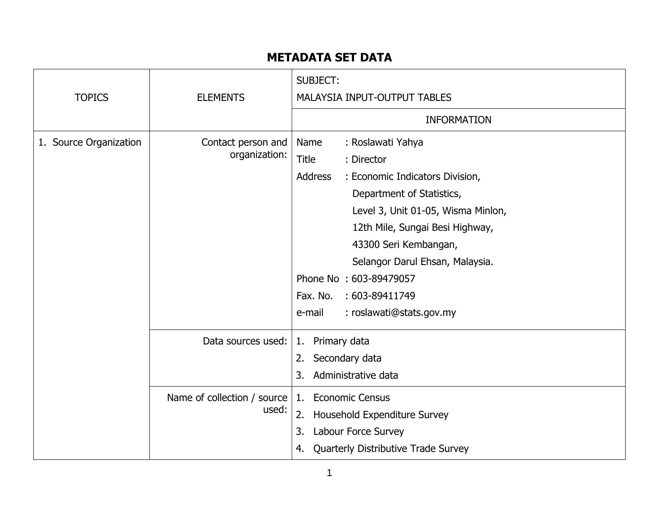## **METADATA SET DATA**

| <b>TOPICS</b>          | <b>ELEMENTS</b>                        | <b>SUBJECT:</b><br>MALAYSIA INPUT-OUTPUT TABLES<br><b>INFORMATION</b>                                                                                                                                                                                                                                                                                                        |
|------------------------|----------------------------------------|------------------------------------------------------------------------------------------------------------------------------------------------------------------------------------------------------------------------------------------------------------------------------------------------------------------------------------------------------------------------------|
| 1. Source Organization | Contact person and<br>organization:    | : Roslawati Yahya<br>Name<br><b>Title</b><br>: Director<br><b>Address</b><br>: Economic Indicators Division,<br>Department of Statistics,<br>Level 3, Unit 01-05, Wisma Minlon,<br>12th Mile, Sungai Besi Highway,<br>43300 Seri Kembangan,<br>Selangor Darul Ehsan, Malaysia.<br>Phone No: 603-89479057<br>Fax. No.<br>: 603-89411749<br>: roslawati@stats.gov.my<br>e-mail |
|                        | Data sources used:                     | Primary data<br>1.<br>Secondary data<br>2.<br>3.<br>Administrative data                                                                                                                                                                                                                                                                                                      |
|                        | Name of collection / source  <br>used: | <b>Economic Census</b><br>1.<br>2.<br>Household Expenditure Survey<br>3.<br>Labour Force Survey<br>Quarterly Distributive Trade Survey<br>4.                                                                                                                                                                                                                                 |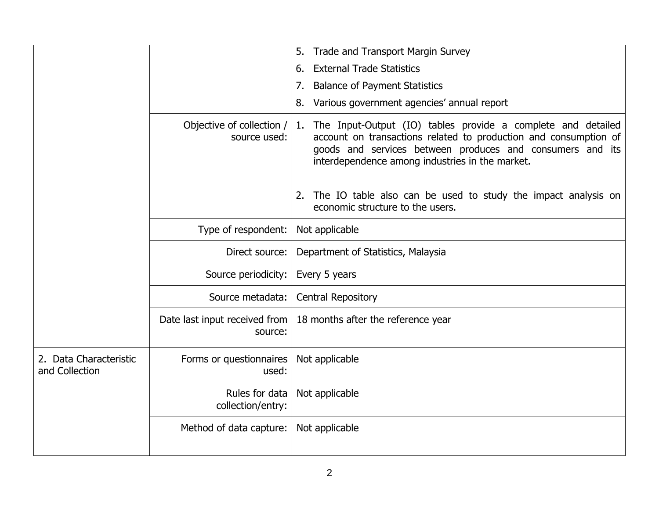|                                          |                                           | <b>Trade and Transport Margin Survey</b><br>5.                                                                                                                                                                                                         |
|------------------------------------------|-------------------------------------------|--------------------------------------------------------------------------------------------------------------------------------------------------------------------------------------------------------------------------------------------------------|
|                                          |                                           | <b>External Trade Statistics</b><br>6.                                                                                                                                                                                                                 |
|                                          |                                           | <b>Balance of Payment Statistics</b><br>7.                                                                                                                                                                                                             |
|                                          |                                           | Various government agencies' annual report<br>8.                                                                                                                                                                                                       |
|                                          | Objective of collection /<br>source used: | The Input-Output (IO) tables provide a complete and detailed<br>1.<br>account on transactions related to production and consumption of<br>goods and services between produces and consumers and its<br>interdependence among industries in the market. |
|                                          |                                           | The IO table also can be used to study the impact analysis on<br>2.<br>economic structure to the users.                                                                                                                                                |
|                                          | Type of respondent:                       | Not applicable                                                                                                                                                                                                                                         |
|                                          | Direct source:                            | Department of Statistics, Malaysia                                                                                                                                                                                                                     |
|                                          | Source periodicity:                       | Every 5 years                                                                                                                                                                                                                                          |
|                                          | Source metadata:                          | <b>Central Repository</b>                                                                                                                                                                                                                              |
|                                          | Date last input received from<br>source:  | 18 months after the reference year                                                                                                                                                                                                                     |
| 2. Data Characteristic<br>and Collection | Forms or questionnaires<br>used:          | Not applicable                                                                                                                                                                                                                                         |
|                                          | Rules for data<br>collection/entry:       | Not applicable                                                                                                                                                                                                                                         |
|                                          | Method of data capture:                   | Not applicable                                                                                                                                                                                                                                         |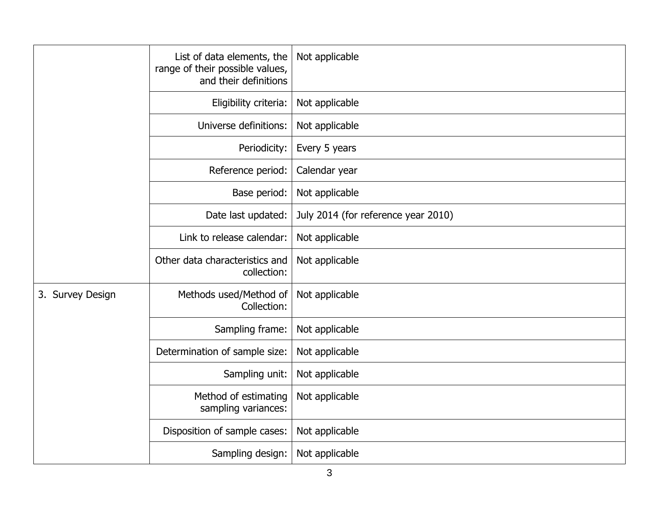|                  | List of data elements, the<br>range of their possible values,<br>and their definitions | Not applicable                      |
|------------------|----------------------------------------------------------------------------------------|-------------------------------------|
|                  | Eligibility criteria:                                                                  | Not applicable                      |
|                  | Universe definitions:                                                                  | Not applicable                      |
|                  | Periodicity:                                                                           | Every 5 years                       |
|                  | Reference period:                                                                      | Calendar year                       |
|                  | Base period:                                                                           | Not applicable                      |
|                  | Date last updated:                                                                     | July 2014 (for reference year 2010) |
|                  | Link to release calendar:                                                              | Not applicable                      |
|                  | Other data characteristics and<br>collection:                                          | Not applicable                      |
| 3. Survey Design | Methods used/Method of<br>Collection:                                                  | Not applicable                      |
|                  | Sampling frame:                                                                        | Not applicable                      |
|                  | Determination of sample size:                                                          | Not applicable                      |
|                  | Sampling unit:                                                                         | Not applicable                      |
|                  | Method of estimating<br>sampling variances:                                            | Not applicable                      |
|                  | Disposition of sample cases:                                                           | Not applicable                      |
|                  | Sampling design:                                                                       | Not applicable                      |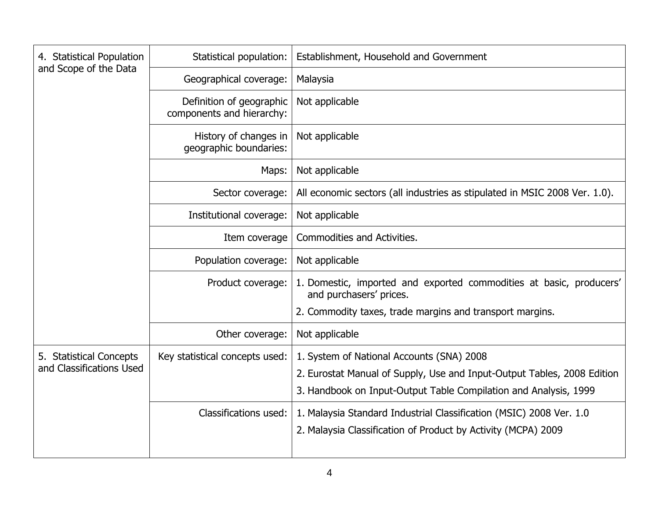| 4. Statistical Population<br>and Scope of the Data  | Statistical population:                               | Establishment, Household and Government                                                                                                                                                  |
|-----------------------------------------------------|-------------------------------------------------------|------------------------------------------------------------------------------------------------------------------------------------------------------------------------------------------|
|                                                     | Geographical coverage:                                | Malaysia                                                                                                                                                                                 |
|                                                     | Definition of geographic<br>components and hierarchy: | Not applicable                                                                                                                                                                           |
|                                                     | History of changes in<br>geographic boundaries:       | Not applicable                                                                                                                                                                           |
|                                                     | Maps:                                                 | Not applicable                                                                                                                                                                           |
|                                                     | Sector coverage:                                      | All economic sectors (all industries as stipulated in MSIC 2008 Ver. 1.0).                                                                                                               |
|                                                     | Institutional coverage:                               | Not applicable                                                                                                                                                                           |
|                                                     | Item coverage                                         | <b>Commodities and Activities.</b>                                                                                                                                                       |
|                                                     | Population coverage:                                  | Not applicable                                                                                                                                                                           |
|                                                     | Product coverage:                                     | 1. Domestic, imported and exported commodities at basic, producers'<br>and purchasers' prices.                                                                                           |
|                                                     |                                                       | 2. Commodity taxes, trade margins and transport margins.                                                                                                                                 |
|                                                     | Other coverage:                                       | Not applicable                                                                                                                                                                           |
| 5. Statistical Concepts<br>and Classifications Used | Key statistical concepts used:                        | 1. System of National Accounts (SNA) 2008<br>2. Eurostat Manual of Supply, Use and Input-Output Tables, 2008 Edition<br>3. Handbook on Input-Output Table Compilation and Analysis, 1999 |
|                                                     | Classifications used:                                 | 1. Malaysia Standard Industrial Classification (MSIC) 2008 Ver. 1.0<br>2. Malaysia Classification of Product by Activity (MCPA) 2009                                                     |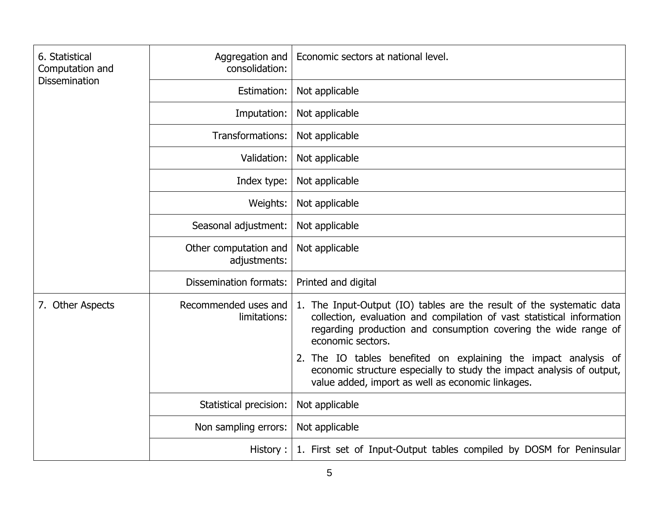| 6. Statistical<br>Computation and<br><b>Dissemination</b> | Aggregation and<br>consolidation:     | Economic sectors at national level.                                                                                                                                                                                                     |
|-----------------------------------------------------------|---------------------------------------|-----------------------------------------------------------------------------------------------------------------------------------------------------------------------------------------------------------------------------------------|
|                                                           | Estimation:                           | Not applicable                                                                                                                                                                                                                          |
|                                                           | Imputation:                           | Not applicable                                                                                                                                                                                                                          |
|                                                           | Transformations:                      | Not applicable                                                                                                                                                                                                                          |
|                                                           | Validation:                           | Not applicable                                                                                                                                                                                                                          |
|                                                           | Index type:                           | Not applicable                                                                                                                                                                                                                          |
|                                                           | Weights:                              | Not applicable                                                                                                                                                                                                                          |
|                                                           | Seasonal adjustment:                  | Not applicable                                                                                                                                                                                                                          |
|                                                           | Other computation and<br>adjustments: | Not applicable                                                                                                                                                                                                                          |
|                                                           | <b>Dissemination formats:</b>         | Printed and digital                                                                                                                                                                                                                     |
| 7. Other Aspects                                          | Recommended uses and<br>limitations:  | 1. The Input-Output (IO) tables are the result of the systematic data<br>collection, evaluation and compilation of vast statistical information<br>regarding production and consumption covering the wide range of<br>economic sectors. |
|                                                           |                                       | 2. The IO tables benefited on explaining the impact analysis of<br>economic structure especially to study the impact analysis of output,<br>value added, import as well as economic linkages.                                           |
|                                                           | Statistical precision:                | Not applicable                                                                                                                                                                                                                          |
|                                                           | Non sampling errors:                  | Not applicable                                                                                                                                                                                                                          |
|                                                           | History:                              | 1. First set of Input-Output tables compiled by DOSM for Peninsular                                                                                                                                                                     |